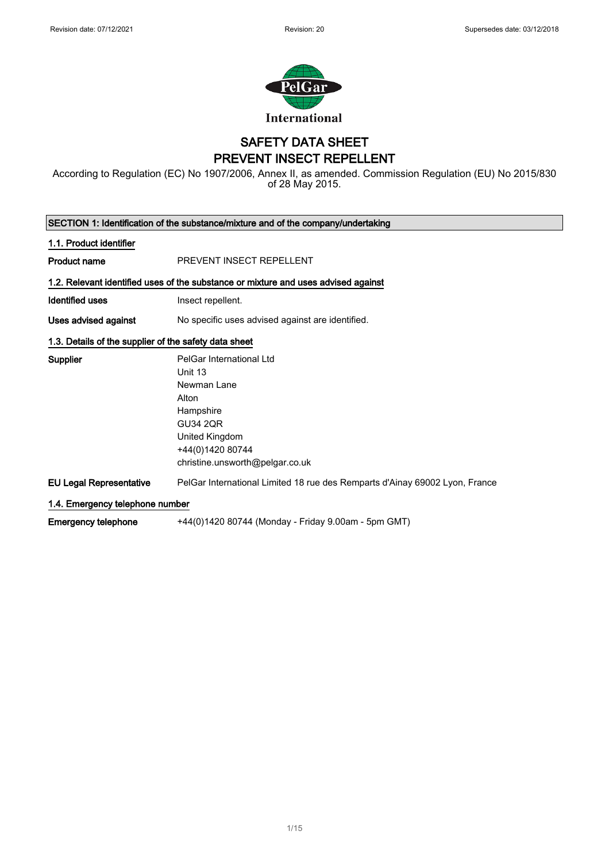

### SAFETY DATA SHEET PREVENT INSECT REPELLENT

According to Regulation (EC) No 1907/2006, Annex II, as amended. Commission Regulation (EU) No 2015/830 of 28 May 2015.

| SECTION 1: Identification of the substance/mixture and of the company/undertaking |                                                                                                                                                                      |
|-----------------------------------------------------------------------------------|----------------------------------------------------------------------------------------------------------------------------------------------------------------------|
| 1.1. Product identifier                                                           |                                                                                                                                                                      |
| <b>Product name</b>                                                               | PREVENT INSECT REPELLENT                                                                                                                                             |
|                                                                                   | 1.2. Relevant identified uses of the substance or mixture and uses advised against                                                                                   |
| <b>Identified uses</b>                                                            | Insect repellent.                                                                                                                                                    |
| Uses advised against                                                              | No specific uses advised against are identified.                                                                                                                     |
| 1.3. Details of the supplier of the safety data sheet                             |                                                                                                                                                                      |
| Supplier                                                                          | PelGar International Ltd<br>Unit 13<br>Newman Lane<br>Alton<br>Hampshire<br><b>GU34 2QR</b><br>United Kingdom<br>+44(0)1420 80744<br>christine.unsworth@pelgar.co.uk |
| <b>EU Legal Representative</b>                                                    | PelGar International Limited 18 rue des Remparts d'Ainay 69002 Lyon, France                                                                                          |
| 1.4. Emergency telephone number                                                   |                                                                                                                                                                      |
| <b>Emergency telephone</b>                                                        | +44(0)1420 80744 (Monday - Friday 9.00am - 5pm GMT)                                                                                                                  |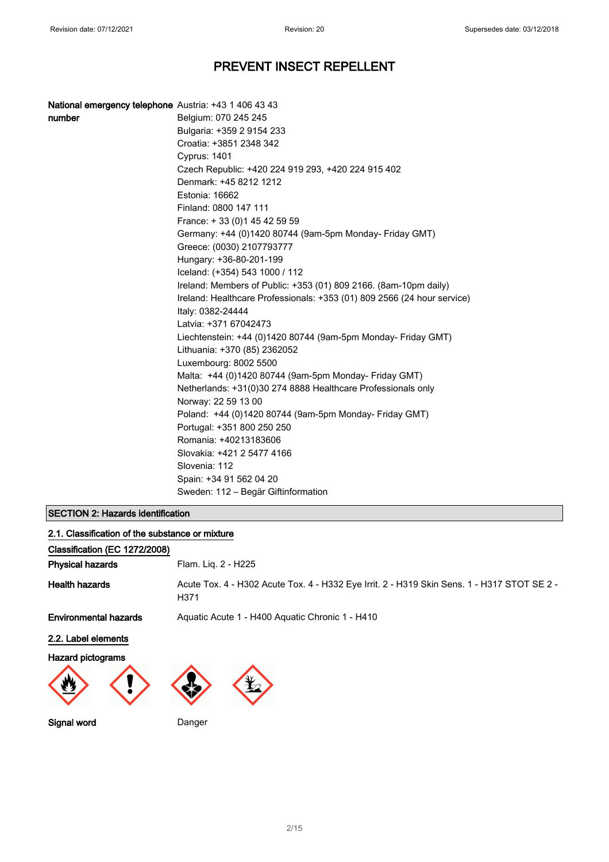| <b>National emergency telephone</b> Austria: +43 1 406 43 43 |                                                                         |
|--------------------------------------------------------------|-------------------------------------------------------------------------|
| number                                                       | Belgium: 070 245 245                                                    |
|                                                              | Bulgaria: +359 2 9154 233                                               |
|                                                              | Croatia: +3851 2348 342                                                 |
|                                                              | <b>Cyprus: 1401</b>                                                     |
|                                                              | Czech Republic: +420 224 919 293, +420 224 915 402                      |
|                                                              | Denmark: +45 8212 1212                                                  |
|                                                              | Estonia: 16662                                                          |
|                                                              | Finland: 0800 147 111                                                   |
|                                                              | France: +33 (0) 145 42 59 59                                            |
|                                                              | Germany: +44 (0)1420 80744 (9am-5pm Monday- Friday GMT)                 |
|                                                              | Greece: (0030) 2107793777                                               |
|                                                              | Hungary: +36-80-201-199                                                 |
|                                                              | Iceland: (+354) 543 1000 / 112                                          |
|                                                              | Ireland: Members of Public: +353 (01) 809 2166. (8am-10pm daily)        |
|                                                              | Ireland: Healthcare Professionals: +353 (01) 809 2566 (24 hour service) |
|                                                              | Italy: 0382-24444                                                       |
|                                                              | Latvia: +371 67042473                                                   |
|                                                              | Liechtenstein: +44 (0)1420 80744 (9am-5pm Monday- Friday GMT)           |
|                                                              | Lithuania: +370 (85) 2362052                                            |
|                                                              | Luxembourg: 8002 5500                                                   |
|                                                              | Malta: +44 (0)1420 80744 (9am-5pm Monday- Friday GMT)                   |
|                                                              | Netherlands: +31(0)30 274 8888 Healthcare Professionals only            |
|                                                              | Norway: 22 59 13 00                                                     |
|                                                              | Poland: +44 (0)1420 80744 (9am-5pm Monday- Friday GMT)                  |
|                                                              | Portugal: +351 800 250 250                                              |
|                                                              | Romania: +40213183606                                                   |
|                                                              | Slovakia: +421 2 5477 4166                                              |
|                                                              | Slovenia: 112                                                           |
|                                                              | Spain: +34 91 562 04 20                                                 |
|                                                              | Sweden: 112 - Begär Giftinformation                                     |

### SECTION 2: Hazards identification

| 2.1. Classification of the substance or mixture |                                                                                                     |
|-------------------------------------------------|-----------------------------------------------------------------------------------------------------|
| Classification (EC 1272/2008)                   |                                                                                                     |
| <b>Physical hazards</b>                         | Flam. Liq. 2 - H225                                                                                 |
| <b>Health hazards</b>                           | Acute Tox. 4 - H302 Acute Tox. 4 - H332 Eye Irrit. 2 - H319 Skin Sens. 1 - H317 STOT SE 2 -<br>H371 |
| <b>Environmental hazards</b>                    | Aquatic Acute 1 - H400 Aquatic Chronic 1 - H410                                                     |
| 2.2. Label elements                             |                                                                                                     |
| Hazard pictograms                               |                                                                                                     |
|                                                 |                                                                                                     |
| Signal word                                     | Danger                                                                                              |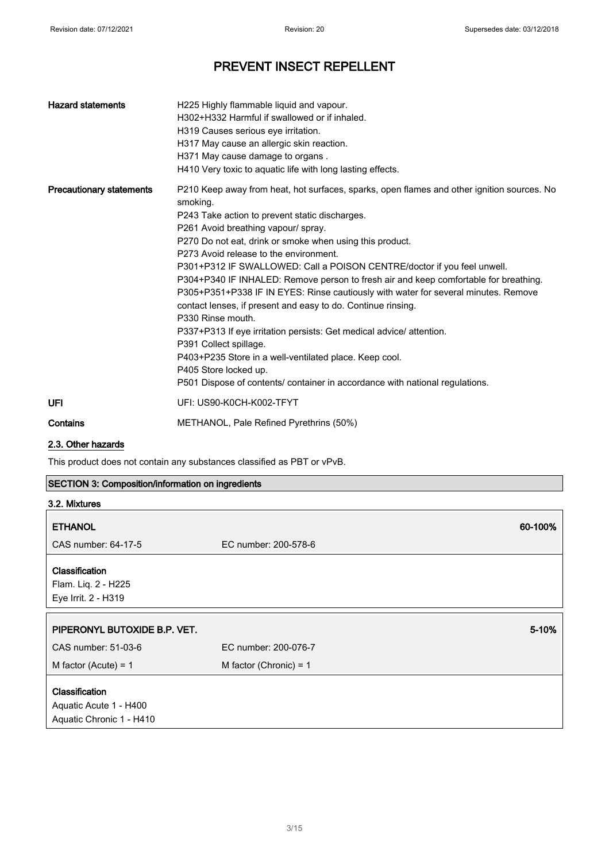| <b>Hazard statements</b>        | H225 Highly flammable liquid and vapour.<br>H302+H332 Harmful if swallowed or if inhaled.<br>H319 Causes serious eye irritation.<br>H317 May cause an allergic skin reaction.<br>H371 May cause damage to organs.<br>H410 Very toxic to aquatic life with long lasting effects.                                                                                                                                                                                                                                                                                                                                                                                                                                                                                                                                                                                                                                         |
|---------------------------------|-------------------------------------------------------------------------------------------------------------------------------------------------------------------------------------------------------------------------------------------------------------------------------------------------------------------------------------------------------------------------------------------------------------------------------------------------------------------------------------------------------------------------------------------------------------------------------------------------------------------------------------------------------------------------------------------------------------------------------------------------------------------------------------------------------------------------------------------------------------------------------------------------------------------------|
| <b>Precautionary statements</b> | P210 Keep away from heat, hot surfaces, sparks, open flames and other ignition sources. No<br>smoking.<br>P243 Take action to prevent static discharges.<br>P261 Avoid breathing vapour/ spray.<br>P270 Do not eat, drink or smoke when using this product.<br>P273 Avoid release to the environment.<br>P301+P312 IF SWALLOWED: Call a POISON CENTRE/doctor if you feel unwell.<br>P304+P340 IF INHALED: Remove person to fresh air and keep comfortable for breathing.<br>P305+P351+P338 IF IN EYES: Rinse cautiously with water for several minutes. Remove<br>contact lenses, if present and easy to do. Continue rinsing.<br>P330 Rinse mouth.<br>P337+P313 If eye irritation persists: Get medical advice/attention.<br>P391 Collect spillage.<br>P403+P235 Store in a well-ventilated place. Keep cool.<br>P405 Store locked up.<br>P501 Dispose of contents/ container in accordance with national regulations. |
| UFI                             | UFI: US90-K0CH-K002-TFYT                                                                                                                                                                                                                                                                                                                                                                                                                                                                                                                                                                                                                                                                                                                                                                                                                                                                                                |
| Contains                        | METHANOL, Pale Refined Pyrethrins (50%)                                                                                                                                                                                                                                                                                                                                                                                                                                                                                                                                                                                                                                                                                                                                                                                                                                                                                 |

### 2.3. Other hazards

This product does not contain any substances classified as PBT or vPvB.

### SECTION 3: Composition/information on ingredients

| 3.2. Mixtures                                                |                          |         |
|--------------------------------------------------------------|--------------------------|---------|
| <b>ETHANOL</b>                                               |                          | 60-100% |
| CAS number: 64-17-5                                          | EC number: 200-578-6     |         |
| Classification<br>Flam. Liq. 2 - H225<br>Eye Irrit. 2 - H319 |                          |         |
|                                                              |                          |         |
| PIPERONYL BUTOXIDE B.P. VET.                                 |                          | 5-10%   |
| CAS number: 51-03-6                                          | EC number: 200-076-7     |         |
| M factor (Acute) = $1$                                       | M factor (Chronic) = $1$ |         |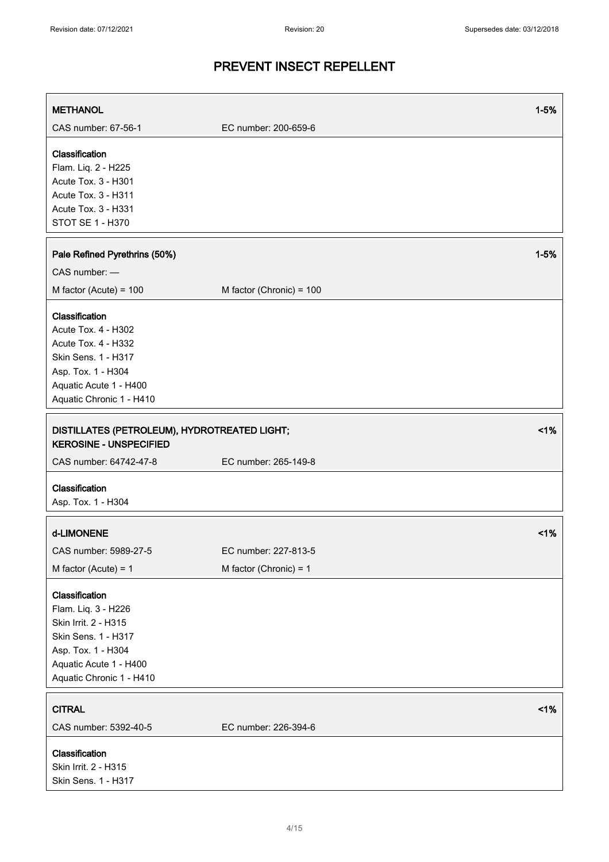| <b>METHANOL</b>                                                                                                                                                  |                          | $1 - 5%$ |
|------------------------------------------------------------------------------------------------------------------------------------------------------------------|--------------------------|----------|
| CAS number: 67-56-1                                                                                                                                              | EC number: 200-659-6     |          |
| Classification<br>Flam. Liq. 2 - H225<br>Acute Tox. 3 - H301<br>Acute Tox. 3 - H311<br>Acute Tox. 3 - H331<br>STOT SE 1 - H370                                   |                          |          |
| Pale Refined Pyrethrins (50%)                                                                                                                                    |                          | $1 - 5%$ |
| CAS number: -                                                                                                                                                    |                          |          |
| M factor (Acute) = $100$                                                                                                                                         | M factor (Chronic) = 100 |          |
| Classification<br>Acute Tox. 4 - H302<br>Acute Tox. 4 - H332<br>Skin Sens. 1 - H317<br>Asp. Tox. 1 - H304<br>Aquatic Acute 1 - H400<br>Aquatic Chronic 1 - H410  |                          |          |
| DISTILLATES (PETROLEUM), HYDROTREATED LIGHT;<br><b>KEROSINE - UNSPECIFIED</b>                                                                                    |                          | 1%       |
| CAS number: 64742-47-8                                                                                                                                           | EC number: 265-149-8     |          |
| Classification<br>Asp. Tox. 1 - H304                                                                                                                             |                          |          |
| d-LIMONENE                                                                                                                                                       |                          | $<$ 1%   |
| CAS number: 5989-27-5                                                                                                                                            | EC number: 227-813-5     |          |
| M factor (Acute) = $1$                                                                                                                                           | M factor (Chronic) = $1$ |          |
| Classification<br>Flam. Liq. 3 - H226<br>Skin Irrit. 2 - H315<br>Skin Sens. 1 - H317<br>Asp. Tox. 1 - H304<br>Aquatic Acute 1 - H400<br>Aquatic Chronic 1 - H410 |                          |          |
| <b>CITRAL</b>                                                                                                                                                    |                          | 1%       |
| CAS number: 5392-40-5                                                                                                                                            | EC number: 226-394-6     |          |
| Classification<br>Skin Irrit. 2 - H315<br>Skin Sens. 1 - H317                                                                                                    |                          |          |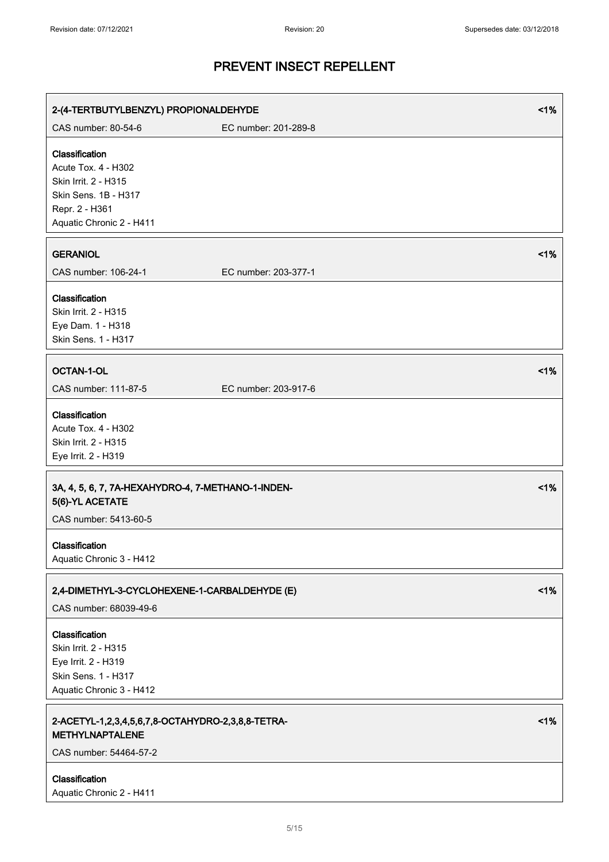| 2-(4-TERTBUTYLBENZYL) PROPIONALDEHYDE                                                                                                      |                      | 1% |
|--------------------------------------------------------------------------------------------------------------------------------------------|----------------------|----|
| CAS number: 80-54-6                                                                                                                        | EC number: 201-289-8 |    |
| Classification<br><b>Acute Tox. 4 - H302</b><br>Skin Irrit. 2 - H315<br>Skin Sens. 1B - H317<br>Repr. 2 - H361<br>Aquatic Chronic 2 - H411 |                      |    |
| <b>GERANIOL</b><br>CAS number: 106-24-1                                                                                                    | EC number: 203-377-1 | 1% |
| Classification<br>Skin Irrit. 2 - H315<br>Eye Dam. 1 - H318<br>Skin Sens. 1 - H317                                                         |                      |    |
| <b>OCTAN-1-OL</b><br>CAS number: 111-87-5                                                                                                  | EC number: 203-917-6 | 1% |
| Classification<br>Acute Tox. 4 - H302<br>Skin Irrit. 2 - H315<br>Eye Irrit. 2 - H319                                                       |                      |    |
| 3A, 4, 5, 6, 7, 7A-HEXAHYDRO-4, 7-METHANO-1-INDEN-<br>5(6)-YL ACETATE<br>CAS number: 5413-60-5                                             |                      | 1% |
| Classification<br>Aquatic Chronic 3 - H412                                                                                                 |                      |    |
| 2,4-DIMETHYL-3-CYCLOHEXENE-1-CARBALDEHYDE (E)<br>CAS number: 68039-49-6                                                                    |                      | 1% |
| Classification<br>Skin Irrit. 2 - H315<br>Eye Irrit. 2 - H319<br>Skin Sens. 1 - H317<br>Aquatic Chronic 3 - H412                           |                      |    |
| 2-ACETYL-1,2,3,4,5,6,7,8-OCTAHYDRO-2,3,8,8-TETRA-<br><b>METHYLNAPTALENE</b><br>CAS number: 54464-57-2                                      |                      | 1% |
| Classification<br>Aquatic Chronic 2 - H411                                                                                                 |                      |    |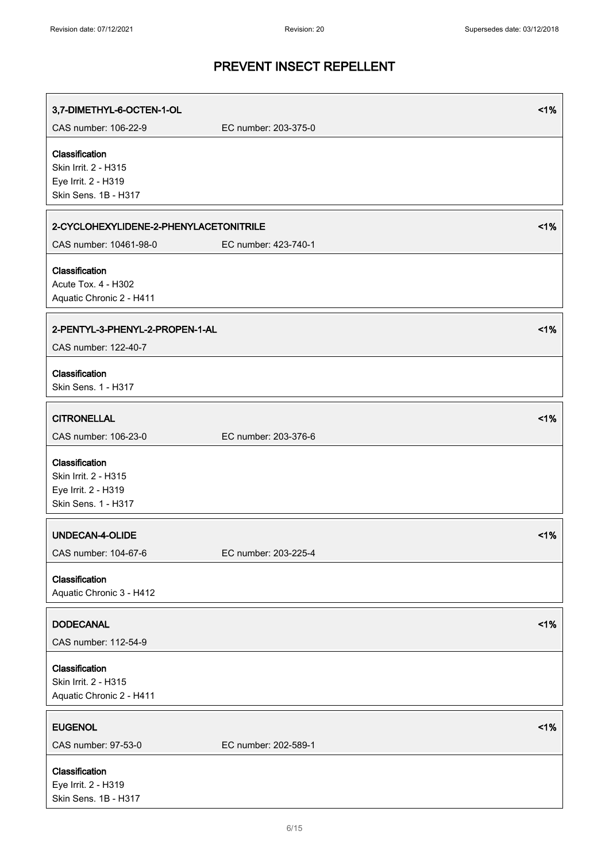| 3,7-DIMETHYL-6-OCTEN-1-OL                                          |                      | 1% |
|--------------------------------------------------------------------|----------------------|----|
| CAS number: 106-22-9                                               | EC number: 203-375-0 |    |
| Classification<br>Skin Irrit. 2 - H315<br>Eye Irrit. 2 - H319      |                      |    |
| Skin Sens. 1B - H317                                               |                      |    |
| 2-CYCLOHEXYLIDENE-2-PHENYLACETONITRILE                             |                      | 1% |
| CAS number: 10461-98-0                                             | EC number: 423-740-1 |    |
| Classification<br>Acute Tox. 4 - H302<br>Aquatic Chronic 2 - H411  |                      |    |
| 2-PENTYL-3-PHENYL-2-PROPEN-1-AL<br>CAS number: 122-40-7            |                      | 1% |
| Classification<br>Skin Sens. 1 - H317                              |                      |    |
| <b>CITRONELLAL</b>                                                 |                      | 1% |
| CAS number: 106-23-0                                               | EC number: 203-376-6 |    |
| Classification<br>Skin Irrit. 2 - H315                             |                      |    |
| Eye Irrit. 2 - H319<br>Skin Sens. 1 - H317                         |                      |    |
| UNDECAN-4-OLIDE                                                    |                      | 1% |
| CAS number: 104-67-6                                               | EC number: 203-225-4 |    |
| Classification<br>Aquatic Chronic 3 - H412                         |                      |    |
| <b>DODECANAL</b><br>CAS number: 112-54-9                           |                      | 1% |
| Classification<br>Skin Irrit. 2 - H315<br>Aquatic Chronic 2 - H411 |                      |    |
| <b>EUGENOL</b><br>CAS number: 97-53-0                              | EC number: 202-589-1 | 1% |
| Classification<br>Eye Irrit. 2 - H319<br>Skin Sens. 1B - H317      |                      |    |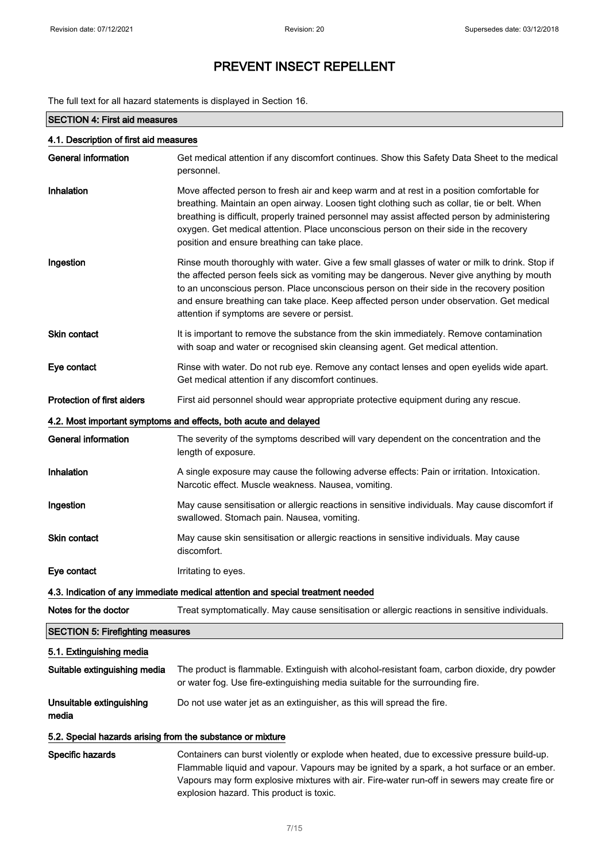The full text for all hazard statements is displayed in Section 16.

### SECTION 4: First aid measures

| 4.1. Description of first aid measures                                          |                                                                                                                                                                                                                                                                                                                                                                                                                                      |
|---------------------------------------------------------------------------------|--------------------------------------------------------------------------------------------------------------------------------------------------------------------------------------------------------------------------------------------------------------------------------------------------------------------------------------------------------------------------------------------------------------------------------------|
| <b>General information</b>                                                      | Get medical attention if any discomfort continues. Show this Safety Data Sheet to the medical<br>personnel.                                                                                                                                                                                                                                                                                                                          |
| Inhalation                                                                      | Move affected person to fresh air and keep warm and at rest in a position comfortable for<br>breathing. Maintain an open airway. Loosen tight clothing such as collar, tie or belt. When<br>breathing is difficult, properly trained personnel may assist affected person by administering<br>oxygen. Get medical attention. Place unconscious person on their side in the recovery<br>position and ensure breathing can take place. |
| Ingestion                                                                       | Rinse mouth thoroughly with water. Give a few small glasses of water or milk to drink. Stop if<br>the affected person feels sick as vomiting may be dangerous. Never give anything by mouth<br>to an unconscious person. Place unconscious person on their side in the recovery position<br>and ensure breathing can take place. Keep affected person under observation. Get medical<br>attention if symptoms are severe or persist. |
| <b>Skin contact</b>                                                             | It is important to remove the substance from the skin immediately. Remove contamination<br>with soap and water or recognised skin cleansing agent. Get medical attention.                                                                                                                                                                                                                                                            |
| Eye contact                                                                     | Rinse with water. Do not rub eye. Remove any contact lenses and open eyelids wide apart.<br>Get medical attention if any discomfort continues.                                                                                                                                                                                                                                                                                       |
| <b>Protection of first aiders</b>                                               | First aid personnel should wear appropriate protective equipment during any rescue.                                                                                                                                                                                                                                                                                                                                                  |
|                                                                                 | 4.2. Most important symptoms and effects, both acute and delayed                                                                                                                                                                                                                                                                                                                                                                     |
| <b>General information</b>                                                      | The severity of the symptoms described will vary dependent on the concentration and the<br>length of exposure.                                                                                                                                                                                                                                                                                                                       |
| Inhalation                                                                      | A single exposure may cause the following adverse effects: Pain or irritation. Intoxication.<br>Narcotic effect. Muscle weakness. Nausea, vomiting.                                                                                                                                                                                                                                                                                  |
| Ingestion                                                                       | May cause sensitisation or allergic reactions in sensitive individuals. May cause discomfort if<br>swallowed. Stomach pain. Nausea, vomiting.                                                                                                                                                                                                                                                                                        |
| <b>Skin contact</b>                                                             | May cause skin sensitisation or allergic reactions in sensitive individuals. May cause<br>discomfort.                                                                                                                                                                                                                                                                                                                                |
| Eye contact                                                                     | Irritating to eyes.                                                                                                                                                                                                                                                                                                                                                                                                                  |
| 4.3. Indication of any immediate medical attention and special treatment needed |                                                                                                                                                                                                                                                                                                                                                                                                                                      |
| Notes for the doctor                                                            | Treat symptomatically. May cause sensitisation or allergic reactions in sensitive individuals.                                                                                                                                                                                                                                                                                                                                       |
| <b>SECTION 5: Firefighting measures</b>                                         |                                                                                                                                                                                                                                                                                                                                                                                                                                      |
| 5.1. Extinguishing media                                                        |                                                                                                                                                                                                                                                                                                                                                                                                                                      |
| Suitable extinguishing media                                                    | The product is flammable. Extinguish with alcohol-resistant foam, carbon dioxide, dry powder<br>or water fog. Use fire-extinguishing media suitable for the surrounding fire.                                                                                                                                                                                                                                                        |
| Unsuitable extinguishing<br>media                                               | Do not use water jet as an extinguisher, as this will spread the fire.                                                                                                                                                                                                                                                                                                                                                               |
| 5.2. Special hazards arising from the substance or mixture                      |                                                                                                                                                                                                                                                                                                                                                                                                                                      |
| Specific hazards                                                                | Containers can burst violently or explode when heated, due to excessive pressure build-up.<br>Flammable liquid and vapour. Vapours may be ignited by a spark, a hot surface or an ember.<br>Vapours may form explosive mixtures with air. Fire-water run-off in sewers may create fire or<br>explosion hazard. This product is toxic.                                                                                                |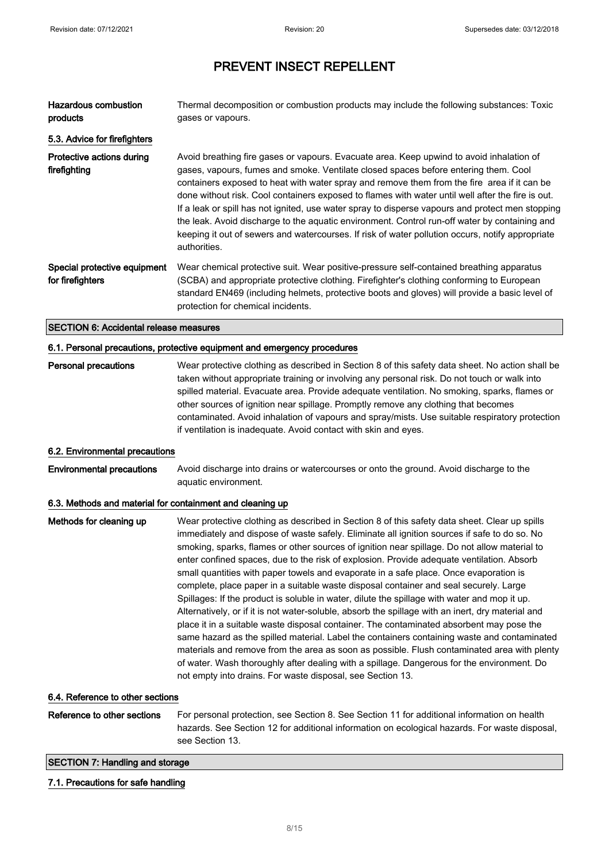| <b>Hazardous combustion</b>                               | Thermal decomposition or combustion products may include the following substances: Toxic                                                                                                                                                                                                                                                                                                                                                                                                                                                                                                                                                                                                                                                                                                                                                                                                                                                                                                                                                                                                                                                                                                                                                |
|-----------------------------------------------------------|-----------------------------------------------------------------------------------------------------------------------------------------------------------------------------------------------------------------------------------------------------------------------------------------------------------------------------------------------------------------------------------------------------------------------------------------------------------------------------------------------------------------------------------------------------------------------------------------------------------------------------------------------------------------------------------------------------------------------------------------------------------------------------------------------------------------------------------------------------------------------------------------------------------------------------------------------------------------------------------------------------------------------------------------------------------------------------------------------------------------------------------------------------------------------------------------------------------------------------------------|
| products                                                  | gases or vapours.                                                                                                                                                                                                                                                                                                                                                                                                                                                                                                                                                                                                                                                                                                                                                                                                                                                                                                                                                                                                                                                                                                                                                                                                                       |
| 5.3. Advice for firefighters                              |                                                                                                                                                                                                                                                                                                                                                                                                                                                                                                                                                                                                                                                                                                                                                                                                                                                                                                                                                                                                                                                                                                                                                                                                                                         |
| Protective actions during<br>firefighting                 | Avoid breathing fire gases or vapours. Evacuate area. Keep upwind to avoid inhalation of<br>gases, vapours, fumes and smoke. Ventilate closed spaces before entering them. Cool<br>containers exposed to heat with water spray and remove them from the fire area if it can be<br>done without risk. Cool containers exposed to flames with water until well after the fire is out.<br>If a leak or spill has not ignited, use water spray to disperse vapours and protect men stopping<br>the leak. Avoid discharge to the aquatic environment. Control run-off water by containing and<br>keeping it out of sewers and watercourses. If risk of water pollution occurs, notify appropriate<br>authorities.                                                                                                                                                                                                                                                                                                                                                                                                                                                                                                                            |
| Special protective equipment<br>for firefighters          | Wear chemical protective suit. Wear positive-pressure self-contained breathing apparatus<br>(SCBA) and appropriate protective clothing. Firefighter's clothing conforming to European<br>standard EN469 (including helmets, protective boots and gloves) will provide a basic level of<br>protection for chemical incidents.                                                                                                                                                                                                                                                                                                                                                                                                                                                                                                                                                                                                                                                                                                                                                                                                                                                                                                            |
| <b>SECTION 6: Accidental release measures</b>             |                                                                                                                                                                                                                                                                                                                                                                                                                                                                                                                                                                                                                                                                                                                                                                                                                                                                                                                                                                                                                                                                                                                                                                                                                                         |
|                                                           | 6.1. Personal precautions, protective equipment and emergency procedures                                                                                                                                                                                                                                                                                                                                                                                                                                                                                                                                                                                                                                                                                                                                                                                                                                                                                                                                                                                                                                                                                                                                                                |
| <b>Personal precautions</b>                               | Wear protective clothing as described in Section 8 of this safety data sheet. No action shall be<br>taken without appropriate training or involving any personal risk. Do not touch or walk into<br>spilled material. Evacuate area. Provide adequate ventilation. No smoking, sparks, flames or<br>other sources of ignition near spillage. Promptly remove any clothing that becomes<br>contaminated. Avoid inhalation of vapours and spray/mists. Use suitable respiratory protection<br>if ventilation is inadequate. Avoid contact with skin and eyes.                                                                                                                                                                                                                                                                                                                                                                                                                                                                                                                                                                                                                                                                             |
| 6.2. Environmental precautions                            |                                                                                                                                                                                                                                                                                                                                                                                                                                                                                                                                                                                                                                                                                                                                                                                                                                                                                                                                                                                                                                                                                                                                                                                                                                         |
| <b>Environmental precautions</b>                          | Avoid discharge into drains or watercourses or onto the ground. Avoid discharge to the<br>aquatic environment.                                                                                                                                                                                                                                                                                                                                                                                                                                                                                                                                                                                                                                                                                                                                                                                                                                                                                                                                                                                                                                                                                                                          |
| 6.3. Methods and material for containment and cleaning up |                                                                                                                                                                                                                                                                                                                                                                                                                                                                                                                                                                                                                                                                                                                                                                                                                                                                                                                                                                                                                                                                                                                                                                                                                                         |
| Methods for cleaning up                                   | Wear protective clothing as described in Section 8 of this safety data sheet. Clear up spills<br>immediately and dispose of waste safely. Eliminate all ignition sources if safe to do so. No<br>smoking, sparks, flames or other sources of ignition near spillage. Do not allow material to<br>enter confined spaces, due to the risk of explosion. Provide adequate ventilation. Absorb<br>small quantities with paper towels and evaporate in a safe place. Once evaporation is<br>complete, place paper in a suitable waste disposal container and seal securely. Large<br>Spillages: If the product is soluble in water, dilute the spillage with water and mop it up.<br>Alternatively, or if it is not water-soluble, absorb the spillage with an inert, dry material and<br>place it in a suitable waste disposal container. The contaminated absorbent may pose the<br>same hazard as the spilled material. Label the containers containing waste and contaminated<br>materials and remove from the area as soon as possible. Flush contaminated area with plenty<br>of water. Wash thoroughly after dealing with a spillage. Dangerous for the environment. Do<br>not empty into drains. For waste disposal, see Section 13. |
| 6.4. Reference to other sections                          |                                                                                                                                                                                                                                                                                                                                                                                                                                                                                                                                                                                                                                                                                                                                                                                                                                                                                                                                                                                                                                                                                                                                                                                                                                         |
| Reference to other sections                               | For personal protection, see Section 8. See Section 11 for additional information on health<br>hazards. See Section 12 for additional information on ecological hazards. For waste disposal,<br>see Section 13.                                                                                                                                                                                                                                                                                                                                                                                                                                                                                                                                                                                                                                                                                                                                                                                                                                                                                                                                                                                                                         |

### SECTION 7: Handling and storage

### 7.1. Precautions for safe handling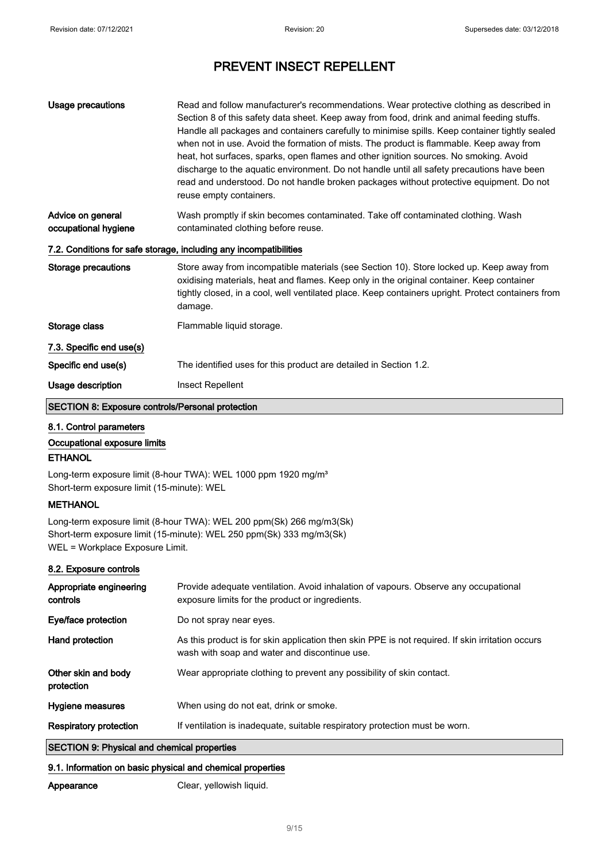| Usage precautions                                       | Read and follow manufacturer's recommendations. Wear protective clothing as described in<br>Section 8 of this safety data sheet. Keep away from food, drink and animal feeding stuffs.<br>Handle all packages and containers carefully to minimise spills. Keep container tightly sealed<br>when not in use. Avoid the formation of mists. The product is flammable. Keep away from<br>heat, hot surfaces, sparks, open flames and other ignition sources. No smoking. Avoid<br>discharge to the aquatic environment. Do not handle until all safety precautions have been<br>read and understood. Do not handle broken packages without protective equipment. Do not<br>reuse empty containers. |
|---------------------------------------------------------|--------------------------------------------------------------------------------------------------------------------------------------------------------------------------------------------------------------------------------------------------------------------------------------------------------------------------------------------------------------------------------------------------------------------------------------------------------------------------------------------------------------------------------------------------------------------------------------------------------------------------------------------------------------------------------------------------|
| Advice on general<br>occupational hygiene               | Wash promptly if skin becomes contaminated. Take off contaminated clothing. Wash<br>contaminated clothing before reuse.                                                                                                                                                                                                                                                                                                                                                                                                                                                                                                                                                                          |
|                                                         | 7.2. Conditions for safe storage, including any incompatibilities                                                                                                                                                                                                                                                                                                                                                                                                                                                                                                                                                                                                                                |
| <b>Storage precautions</b>                              | Store away from incompatible materials (see Section 10). Store locked up. Keep away from<br>oxidising materials, heat and flames. Keep only in the original container. Keep container<br>tightly closed, in a cool, well ventilated place. Keep containers upright. Protect containers from<br>damage.                                                                                                                                                                                                                                                                                                                                                                                           |
| Storage class                                           | Flammable liquid storage.                                                                                                                                                                                                                                                                                                                                                                                                                                                                                                                                                                                                                                                                        |
| 7.3. Specific end use(s)                                |                                                                                                                                                                                                                                                                                                                                                                                                                                                                                                                                                                                                                                                                                                  |
| Specific end use(s)                                     | The identified uses for this product are detailed in Section 1.2.                                                                                                                                                                                                                                                                                                                                                                                                                                                                                                                                                                                                                                |
| Usage description                                       | Insect Repellent                                                                                                                                                                                                                                                                                                                                                                                                                                                                                                                                                                                                                                                                                 |
| <b>SECTION 8: Exposure controls/Personal protection</b> |                                                                                                                                                                                                                                                                                                                                                                                                                                                                                                                                                                                                                                                                                                  |

### 8.1. Control parameters

### Occupational exposure limits

#### **ETHANOL**

Long-term exposure limit (8-hour TWA): WEL 1000 ppm 1920 mg/m<sup>3</sup> Short-term exposure limit (15-minute): WEL

### **METHANOL**

Long-term exposure limit (8-hour TWA): WEL 200 ppm(Sk) 266 mg/m3(Sk) Short-term exposure limit (15-minute): WEL 250 ppm(Sk) 333 mg/m3(Sk) WEL = Workplace Exposure Limit.

#### 8.2. Exposure controls

| Appropriate engineering<br>controls                | Provide adequate ventilation. Avoid inhalation of vapours. Observe any occupational<br>exposure limits for the product or ingredients.            |
|----------------------------------------------------|---------------------------------------------------------------------------------------------------------------------------------------------------|
| Eye/face protection                                | Do not spray near eyes.                                                                                                                           |
| Hand protection                                    | As this product is for skin application then skin PPE is not required. If skin irritation occurs<br>wash with soap and water and discontinue use. |
| Other skin and body<br>protection                  | Wear appropriate clothing to prevent any possibility of skin contact.                                                                             |
| <b>Hygiene measures</b>                            | When using do not eat, drink or smoke.                                                                                                            |
| <b>Respiratory protection</b>                      | If ventilation is inadequate, suitable respiratory protection must be worn.                                                                       |
| <b>SECTION 9: Physical and chemical properties</b> |                                                                                                                                                   |

#### 9.1. Information on basic physical and chemical properties

Appearance Clear, yellowish liquid.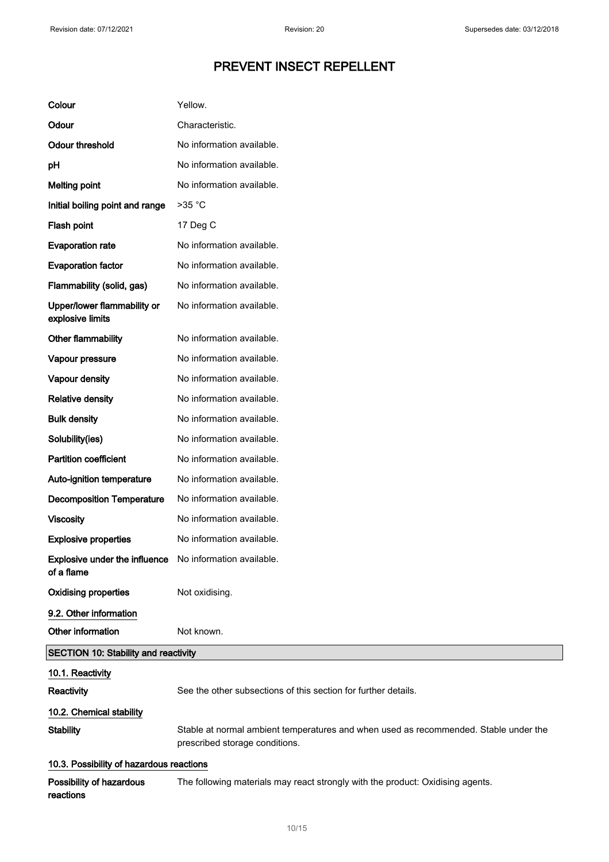| Colour                                                                | Yellow.                                                                                                                |
|-----------------------------------------------------------------------|------------------------------------------------------------------------------------------------------------------------|
| Odour                                                                 | Characteristic.                                                                                                        |
| <b>Odour threshold</b>                                                | No information available.                                                                                              |
| pH                                                                    | No information available.                                                                                              |
| <b>Melting point</b>                                                  | No information available.                                                                                              |
| Initial boiling point and range                                       | $>35$ °C                                                                                                               |
| Flash point                                                           | 17 Deg C                                                                                                               |
| <b>Evaporation rate</b>                                               | No information available.                                                                                              |
| <b>Evaporation factor</b>                                             | No information available.                                                                                              |
| Flammability (solid, gas)                                             | No information available.                                                                                              |
| Upper/lower flammability or<br>explosive limits                       | No information available.                                                                                              |
| Other flammability                                                    | No information available.                                                                                              |
| Vapour pressure                                                       | No information available.                                                                                              |
| Vapour density                                                        | No information available.                                                                                              |
| <b>Relative density</b>                                               | No information available.                                                                                              |
| <b>Bulk density</b>                                                   | No information available.                                                                                              |
| Solubility(ies)                                                       | No information available.                                                                                              |
| <b>Partition coefficient</b>                                          | No information available.                                                                                              |
| Auto-ignition temperature                                             | No information available.                                                                                              |
| <b>Decomposition Temperature</b>                                      | No information available.                                                                                              |
| <b>Viscosity</b>                                                      | No information available.                                                                                              |
| <b>Explosive properties</b>                                           | No information available.                                                                                              |
| Explosive under the influence No information available.<br>of a flame |                                                                                                                        |
| <b>Oxidising properties</b>                                           | Not oxidising.                                                                                                         |
| 9.2. Other information                                                |                                                                                                                        |
| Other information                                                     | Not known.                                                                                                             |
| <b>SECTION 10: Stability and reactivity</b>                           |                                                                                                                        |
| 10.1. Reactivity                                                      |                                                                                                                        |
| Reactivity                                                            | See the other subsections of this section for further details.                                                         |
| 10.2. Chemical stability                                              |                                                                                                                        |
| <b>Stability</b>                                                      | Stable at normal ambient temperatures and when used as recommended. Stable under the<br>prescribed storage conditions. |
| 10.3. Possibility of hazardous reactions                              |                                                                                                                        |
| Possibility of hazardous<br>reactions                                 | The following materials may react strongly with the product: Oxidising agents.                                         |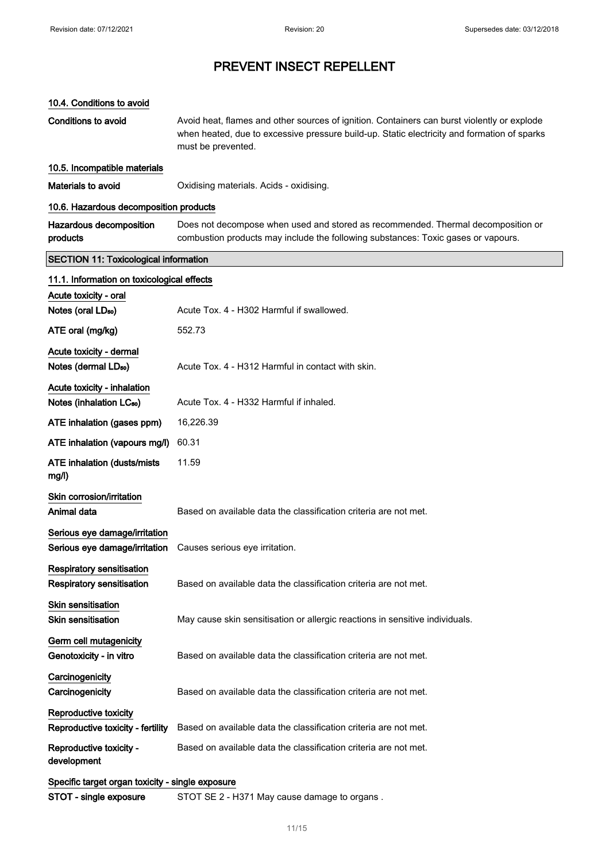#### 10.4. Conditions to avoid

Conditions to avoid **Avoid heat, flames and other sources of ignition**. Containers can burst violently or explode when heated, due to excessive pressure build-up. Static electricity and formation of sparks must be prevented.

### 10.5. Incompatible materials

Materials to avoid **Materials COXID** Oxidising materials. Acids - oxidising.

### 10.6. Hazardous decomposition products

| Hazardous decomposition | Does not decompose when used and stored as recommended. Thermal decomposition or  |
|-------------------------|-----------------------------------------------------------------------------------|
| products                | combustion products may include the following substances: Toxic gases or vapours. |

### SECTION 11: Toxicological information

| 11.1. Information on toxicological effects       |                                                                              |
|--------------------------------------------------|------------------------------------------------------------------------------|
| Acute toxicity - oral                            |                                                                              |
| Notes (oral LD <sub>50</sub> )                   | Acute Tox. 4 - H302 Harmful if swallowed.                                    |
| ATE oral (mg/kg)                                 | 552.73                                                                       |
| Acute toxicity - dermal                          |                                                                              |
| Notes (dermal LD <sub>50</sub> )                 | Acute Tox. 4 - H312 Harmful in contact with skin.                            |
| Acute toxicity - inhalation                      |                                                                              |
| Notes (inhalation LC <sub>50</sub> )             | Acute Tox, 4 - H332 Harmful if inhaled.                                      |
| ATE inhalation (gases ppm)                       | 16,226.39                                                                    |
| ATE inhalation (vapours mg/l)                    | 60.31                                                                        |
| ATE inhalation (dusts/mists<br>mg/l)             | 11.59                                                                        |
| Skin corrosion/irritation                        |                                                                              |
| Animal data                                      | Based on available data the classification criteria are not met.             |
| Serious eye damage/irritation                    |                                                                              |
| Serious eye damage/irritation                    | Causes serious eye irritation.                                               |
| <b>Respiratory sensitisation</b>                 |                                                                              |
| <b>Respiratory sensitisation</b>                 | Based on available data the classification criteria are not met.             |
| <b>Skin sensitisation</b>                        |                                                                              |
| <b>Skin sensitisation</b>                        | May cause skin sensitisation or allergic reactions in sensitive individuals. |
| Germ cell mutagenicity                           |                                                                              |
| Genotoxicity - in vitro                          | Based on available data the classification criteria are not met.             |
| Carcinogenicity                                  |                                                                              |
| Carcinogenicity                                  | Based on available data the classification criteria are not met.             |
| Reproductive toxicity                            |                                                                              |
| Reproductive toxicity - fertility                | Based on available data the classification criteria are not met.             |
| Reproductive toxicity -<br>development           | Based on available data the classification criteria are not met.             |
| Specific target organ toxicity - single exposure |                                                                              |
| STOT - single exposure                           | STOT SE 2 - H371 May cause damage to organs.                                 |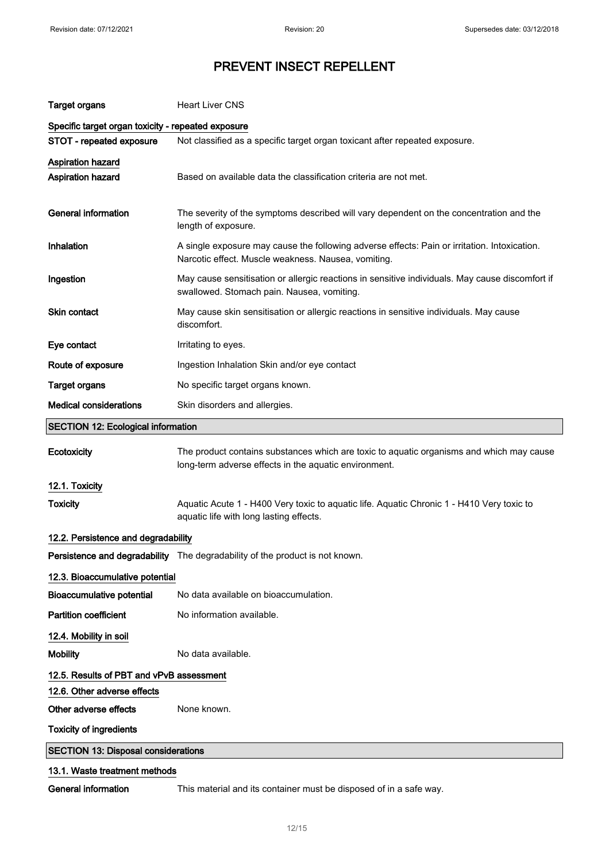| <b>Target organs</b>                               | <b>Heart Liver CNS</b>                                                                                                                              |  |
|----------------------------------------------------|-----------------------------------------------------------------------------------------------------------------------------------------------------|--|
| Specific target organ toxicity - repeated exposure |                                                                                                                                                     |  |
| STOT - repeated exposure                           | Not classified as a specific target organ toxicant after repeated exposure.                                                                         |  |
| <b>Aspiration hazard</b><br>Aspiration hazard      | Based on available data the classification criteria are not met.                                                                                    |  |
| <b>General information</b>                         | The severity of the symptoms described will vary dependent on the concentration and the<br>length of exposure.                                      |  |
| Inhalation                                         | A single exposure may cause the following adverse effects: Pain or irritation. Intoxication.<br>Narcotic effect. Muscle weakness. Nausea, vomiting. |  |
| Ingestion                                          | May cause sensitisation or allergic reactions in sensitive individuals. May cause discomfort if<br>swallowed. Stomach pain. Nausea, vomiting.       |  |
| Skin contact                                       | May cause skin sensitisation or allergic reactions in sensitive individuals. May cause<br>discomfort.                                               |  |
| Eye contact                                        | Irritating to eyes.                                                                                                                                 |  |
| Route of exposure                                  | Ingestion Inhalation Skin and/or eye contact                                                                                                        |  |
| <b>Target organs</b>                               | No specific target organs known.                                                                                                                    |  |
| <b>Medical considerations</b>                      | Skin disorders and allergies.                                                                                                                       |  |
| <b>SECTION 12: Ecological information</b>          |                                                                                                                                                     |  |
| Ecotoxicity                                        | The product contains substances which are toxic to aquatic organisms and which may cause<br>long-term adverse effects in the aquatic environment.   |  |
| 12.1. Toxicity                                     |                                                                                                                                                     |  |
| <b>Toxicity</b>                                    | Aquatic Acute 1 - H400 Very toxic to aquatic life. Aquatic Chronic 1 - H410 Very toxic to<br>aquatic life with long lasting effects.                |  |
| 12.2. Persistence and degradability                |                                                                                                                                                     |  |
|                                                    | Persistence and degradability The degradability of the product is not known                                                                         |  |
| 12.3. Bioaccumulative potential                    |                                                                                                                                                     |  |
| <b>Bioaccumulative potential</b>                   | No data available on bioaccumulation.                                                                                                               |  |
| <b>Partition coefficient</b>                       | No information available.                                                                                                                           |  |
| 12.4. Mobility in soil                             |                                                                                                                                                     |  |
| <b>Mobility</b>                                    | No data available.                                                                                                                                  |  |
| 12.5. Results of PBT and vPvB assessment           |                                                                                                                                                     |  |
| 12.6. Other adverse effects                        |                                                                                                                                                     |  |
| Other adverse effects                              | None known.                                                                                                                                         |  |
| <b>Toxicity of ingredients</b>                     |                                                                                                                                                     |  |
|                                                    |                                                                                                                                                     |  |
| <b>SECTION 13: Disposal considerations</b>         |                                                                                                                                                     |  |

12/ 15

General information This material and its container must be disposed of in a safe way.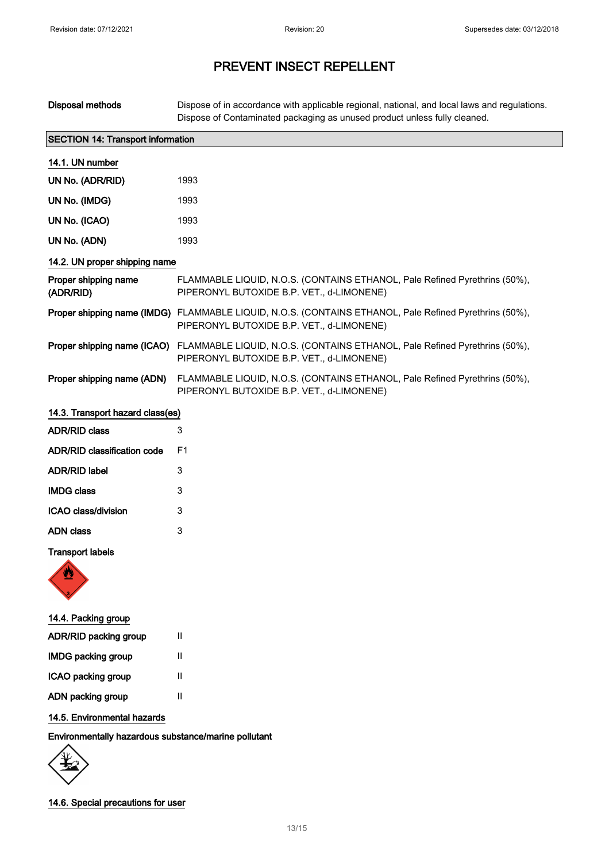| <b>Disposal methods</b>           | Dispose of in accordance with applicable regional, national, and local laws and regulations.<br>Dispose of Contaminated packaging as unused product unless fully cleaned. |  |  |
|-----------------------------------|---------------------------------------------------------------------------------------------------------------------------------------------------------------------------|--|--|
|                                   | <b>SECTION 14: Transport information</b>                                                                                                                                  |  |  |
| 14.1. UN number                   |                                                                                                                                                                           |  |  |
| UN No. (ADR/RID)                  | 1993                                                                                                                                                                      |  |  |
| UN No. (IMDG)                     | 1993                                                                                                                                                                      |  |  |
| UN No. (ICAO)                     | 1993                                                                                                                                                                      |  |  |
| UN No. (ADN)                      | 1993                                                                                                                                                                      |  |  |
| 14.2. UN proper shipping name     |                                                                                                                                                                           |  |  |
| Proper shipping name<br>(ADR/RID) | FLAMMABLE LIQUID, N.O.S. (CONTAINS ETHANOL, Pale Refined Pyrethrins (50%),<br>PIPERONYL BUTOXIDE B.P. VET., d-LIMONENE)                                                   |  |  |
|                                   | Proper shipping name (IMDG) FLAMMABLE LIQUID, N.O.S. (CONTAINS ETHANOL, Pale Refined Pyrethrins (50%),<br>PIPERONYL BUTOXIDE B.P. VET., d-LIMONENE)                       |  |  |
| Proper shipping name (ICAO)       | FLAMMABLE LIQUID, N.O.S. (CONTAINS ETHANOL, Pale Refined Pyrethrins (50%),<br>PIPERONYL BUTOXIDE B.P. VET., d-LIMONENE)                                                   |  |  |
| Proper shipping name (ADN)        | FLAMMABLE LIQUID, N.O.S. (CONTAINS ETHANOL, Pale Refined Pyrethrins (50%),<br>PIPERONYL BUTOXIDE B.P. VET., d-LIMONENE)                                                   |  |  |
| 14.3. Transport hazard class(es)  |                                                                                                                                                                           |  |  |
| <b>ADR/RID class</b>              | 3                                                                                                                                                                         |  |  |
| ADR/RID classification code       | F1                                                                                                                                                                        |  |  |
| <b>ADR/RID label</b>              | 3                                                                                                                                                                         |  |  |
| <b>IMDG class</b>                 | 3                                                                                                                                                                         |  |  |
| ICAO class/division               | 3                                                                                                                                                                         |  |  |
| <b>ADN</b> class                  | 3                                                                                                                                                                         |  |  |
| <b>Transport labels</b>           |                                                                                                                                                                           |  |  |
| 14.4. Packing group               |                                                                                                                                                                           |  |  |
| ADR/RID packing group             | Ш                                                                                                                                                                         |  |  |
| <b>IMDG packing group</b>         | Ш                                                                                                                                                                         |  |  |

ADN packing group II

ICAO packing group II

### 14.5. Environmental hazards

Environmentally hazardous substance/marine pollutant

14.6. Special precautions for user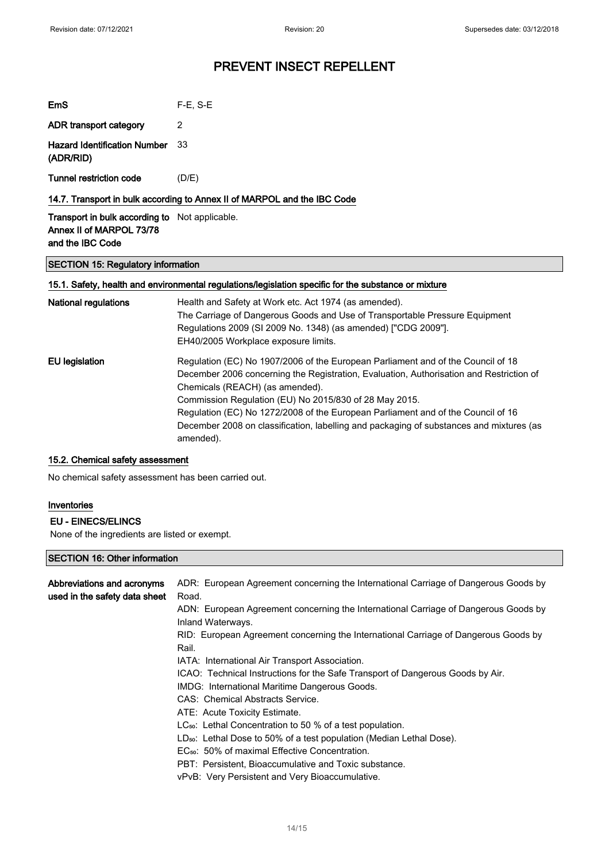| EmS                                                                               | $F-E$ , S-E |  |
|-----------------------------------------------------------------------------------|-------------|--|
| ADR transport category                                                            | 2           |  |
| <b>Hazard Identification Number</b><br>(ADR/RID)                                  | - 33        |  |
| Tunnel restriction code                                                           | (D/E)       |  |
| 14.7. Transport in bulk according to Annex II of MARPOL and the IBC Code          |             |  |
| <b>Transport in bulk according to</b> Not applicable.<br>Annex II of MARPOL 73/78 |             |  |

# and the IBC Code

### SECTION 15: Regulatory information

### 15.1. Safety, health and environmental regulations/legislation specific for the substance or mixture

| Health and Safety at Work etc. Act 1974 (as amended).<br>The Carriage of Dangerous Goods and Use of Transportable Pressure Equipment<br>Regulations 2009 (SI 2009 No. 1348) (as amended) ["CDG 2009"].<br>EH40/2005 Workplace exposure limits.                                                                                                                                                                                                          |
|---------------------------------------------------------------------------------------------------------------------------------------------------------------------------------------------------------------------------------------------------------------------------------------------------------------------------------------------------------------------------------------------------------------------------------------------------------|
| Regulation (EC) No 1907/2006 of the European Parliament and of the Council of 18<br>December 2006 concerning the Registration, Evaluation, Authorisation and Restriction of<br>Chemicals (REACH) (as amended).<br>Commission Regulation (EU) No 2015/830 of 28 May 2015.<br>Regulation (EC) No 1272/2008 of the European Parliament and of the Council of 16<br>December 2008 on classification, labelling and packaging of substances and mixtures (as |
| amended).                                                                                                                                                                                                                                                                                                                                                                                                                                               |

#### 15.2. Chemical safety assessment

No chemical safety assessment has been carried out.

#### Inventories

### EU - EINECS/ELINCS

None of the ingredients are listed or exempt.

### SECTION 16: Other information

| Abbreviations and acronyms<br>used in the safety data sheet | ADR: European Agreement concerning the International Carriage of Dangerous Goods by<br>Road.             |
|-------------------------------------------------------------|----------------------------------------------------------------------------------------------------------|
|                                                             | ADN: European Agreement concerning the International Carriage of Dangerous Goods by<br>Inland Waterways. |
|                                                             | RID: European Agreement concerning the International Carriage of Dangerous Goods by<br>Rail.             |
|                                                             | IATA: International Air Transport Association.                                                           |
|                                                             | ICAO: Technical Instructions for the Safe Transport of Dangerous Goods by Air.                           |
|                                                             | IMDG: International Maritime Dangerous Goods.                                                            |
|                                                             | CAS: Chemical Abstracts Service.                                                                         |
|                                                             | ATE: Acute Toxicity Estimate.                                                                            |
|                                                             | $LC_{50}$ : Lethal Concentration to 50 % of a test population.                                           |
|                                                             | LD <sub>50</sub> : Lethal Dose to 50% of a test population (Median Lethal Dose).                         |
|                                                             | EC <sub>50</sub> : 50% of maximal Effective Concentration.                                               |
|                                                             | PBT: Persistent, Bioaccumulative and Toxic substance.                                                    |
|                                                             | vPvB: Very Persistent and Very Bioaccumulative.                                                          |